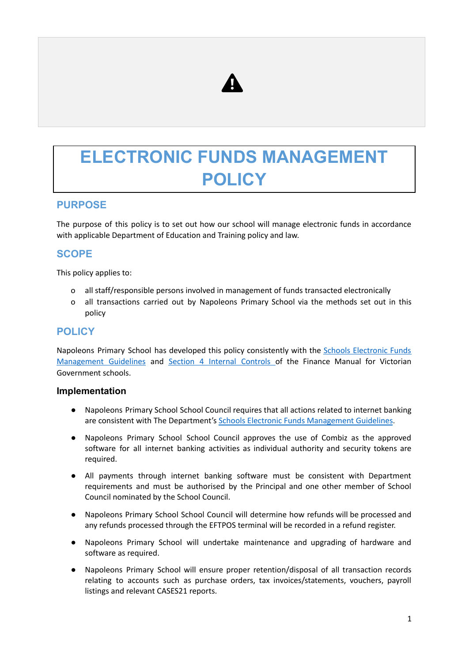

# **ELECTRONIC FUNDS MANAGEMENT POLICY**

## **PURPOSE**

The purpose of this policy is to set out how our school will manage electronic funds in accordance with applicable Department of Education and Training policy and law.

## **SCOPE**

This policy applies to:

- o all staff/responsible persons involved in management of funds transacted electronically
- o all transactions carried out by Napoleons Primary School via the methods set out in this policy

## **POLICY**

Napoleons Primary School has developed this policy consistently with the Schools [Electronic](http://www.education.vic.gov.au/Documents/school/principals/finance/Fin%20Schools%20Electronic%20Funds%20Management%20Guidelines%20V1_2.pdf) Funds [Management](http://www.education.vic.gov.au/Documents/school/principals/finance/Fin%20Schools%20Electronic%20Funds%20Management%20Guidelines%20V1_2.pdf) Guidelines and Section 4 Internal [Controls](https://www2.education.vic.gov.au/pal/internal-controls-finance-manual-section-4/policy) of the Finance Manual for Victorian Government schools.

#### **Implementation**

- Napoleons Primary School School Council requires that all actions related to internet banking are consistent with The Department's Schools Electronic Funds [Management](http://www.education.vic.gov.au/Documents/school/principals/finance/Fin%20Schools%20Electronic%20Funds%20Management%20Guidelines%20V1_2.pdf) Guidelines.
- Napoleons Primary School School Council approves the use of Combiz as the approved software for all internet banking activities as individual authority and security tokens are required.
- All payments through internet banking software must be consistent with Department requirements and must be authorised by the Principal and one other member of School Council nominated by the School Council.
- Napoleons Primary School School Council will determine how refunds will be processed and any refunds processed through the EFTPOS terminal will be recorded in a refund register.
- Napoleons Primary School will undertake maintenance and upgrading of hardware and software as required.
- Napoleons Primary School will ensure proper retention/disposal of all transaction records relating to accounts such as purchase orders, tax invoices/statements, vouchers, payroll listings and relevant CASES21 reports.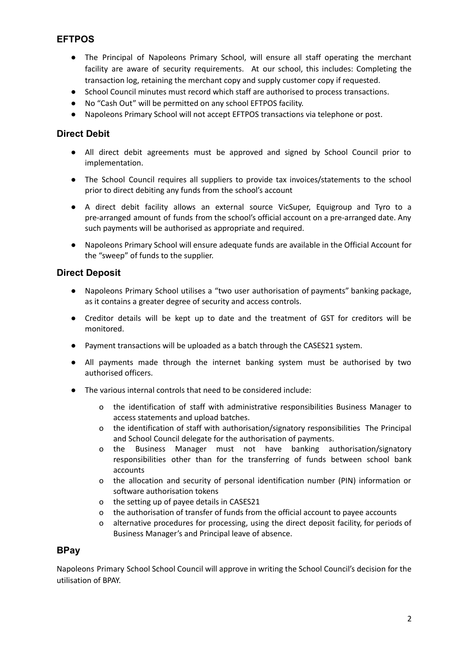## **EFTPOS**

- The Principal of Napoleons Primary School, will ensure all staff operating the merchant facility are aware of security requirements. At our school, this includes: Completing the transaction log, retaining the merchant copy and supply customer copy if requested.
- School Council minutes must record which staff are authorised to process transactions.
- No "Cash Out" will be permitted on any school EFTPOS facility.
- Napoleons Primary School will not accept EFTPOS transactions via telephone or post.

#### **Direct Debit**

- All direct debit agreements must be approved and signed by School Council prior to implementation.
- The School Council requires all suppliers to provide tax invoices/statements to the school prior to direct debiting any funds from the school's account
- A direct debit facility allows an external source VicSuper, Equigroup and Tyro to a pre-arranged amount of funds from the school's official account on a pre-arranged date. Any such payments will be authorised as appropriate and required.
- Napoleons Primary School will ensure adequate funds are available in the Official Account for the "sweep" of funds to the supplier.

#### **Direct Deposit**

- Napoleons Primary School utilises a "two user authorisation of payments" banking package, as it contains a greater degree of security and access controls.
- Creditor details will be kept up to date and the treatment of GST for creditors will be monitored.
- Payment transactions will be uploaded as a batch through the CASES21 system.
- All payments made through the internet banking system must be authorised by two authorised officers.
- The various internal controls that need to be considered include:
	- o the identification of staff with administrative responsibilities Business Manager to access statements and upload batches.
	- o the identification of staff with authorisation/signatory responsibilities The Principal and School Council delegate for the authorisation of payments.
	- o the Business Manager must not have banking authorisation/signatory responsibilities other than for the transferring of funds between school bank accounts
	- o the allocation and security of personal identification number (PIN) information or software authorisation tokens
	- o the setting up of payee details in CASES21
	- o the authorisation of transfer of funds from the official account to payee accounts
	- o alternative procedures for processing, using the direct deposit facility, for periods of Business Manager's and Principal leave of absence.

#### **BPay**

Napoleons Primary School School Council will approve in writing the School Council's decision for the utilisation of BPAY.